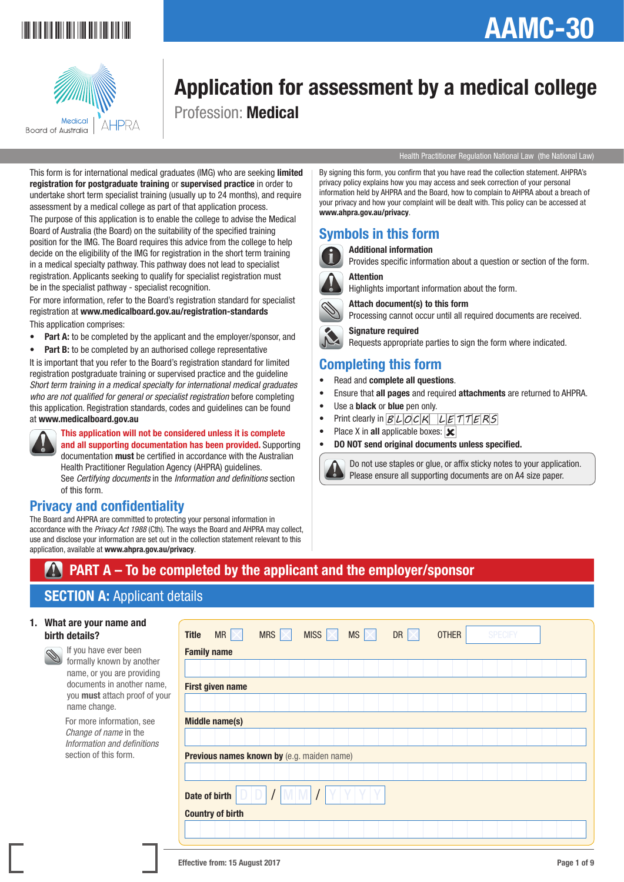

# AAMC-30



## Application for assessment by a medical college Profession: Medical

#### Health Practitioner Regulation National Law (the National Law)

This form is for international medical graduates (IMG) who are seeking limited registration for postgraduate training or supervised practice in order to undertake short term specialist training (usually up to 24 months), and require assessment by a medical college as part of that application process.

The purpose of this application is to enable the college to advise the Medical Board of Australia (the Board) on the suitability of the specified training position for the IMG. The Board requires this advice from the college to help decide on the eligibility of the IMG for registration in the short term training in a medical specialty pathway. This pathway does not lead to specialist registration. Applicants seeking to qualify for specialist registration must be in the specialist pathway - specialist recognition.

For more information, refer to the Board's registration standard for specialist registration at www.medicalboard.gov.au/registration-standards This application comprises:

- Part A: to be completed by the applicant and the employer/sponsor, and
- Part B: to be completed by an authorised college representative

It is important that you refer to the Board's registration standard for limited registration postgraduate training or supervised practice and the guideline *Short term training in a medical specialty for international medical graduates who are not qualified for general or specialist registration* before completing this application. Registration standards, codes and guidelines can be found at www.medicalboard.gov.au



This application will not be considered unless it is complete and all supporting documentation has been provided. Supporting documentation must be certified in accordance with the Australian Health Practitioner Regulation Agency (AHPRA) guidelines. See *Certifying documents* in the *Information and definitions* section of this form.

## Privacy and confidentiality

The Board and AHPRA are committed to protecting your personal information in accordance with the *Privacy Act 1988* (Cth). The ways the Board and AHPRA may collect, use and disclose your information are set out in the collection statement relevant to this application, available at www.ahpra.gov.au/privacy.

By signing this form, you confirm that you have read the collection statement. AHPRA's privacy policy explains how you may access and seek correction of your personal information held by AHPRA and the Board, how to complain to AHPRA about a breach of your privacy and how your complaint will be dealt with. This policy can be accessed at www.ahpra.gov.au/privacy.

### Symbols in this form

#### Additional information

Provides specific information about a question or section of the form.

#### **Attention**

Highlights important information about the form.

Attach document(s) to this form

Processing cannot occur until all required documents are received.

 Signature required Requests appropriate parties to sign the form where indicated.

### Completing this form

- Read and complete all questions.
- Ensure that all pages and required attachments are returned to AHPRA.
- Use a **black** or **blue** pen only.
- Print clearly in  $BLOCK$   $LETTTERS$
- Place X in all applicable boxes:  $\overline{\mathbf{x}}$
- DO NOT send original documents unless specified.



 Do not use staples or glue, or affix sticky notes to your application. Please ensure all supporting documents are on A4 size paper.

## PART A – To be completed by the applicant and the employer/sponsor

## **SECTION A: Applicant details**

#### 1. What are your name and birth details?

 If you have ever been formally known by another name, or you are providing documents in another name, you must attach proof of your name change.

 For more information, see *Change of name* in the *Information and definitions* section of this form.

| MR $\times$<br><b>Title</b> | MRS  <br>$\times$                          | MISS $\n<$ | $MS \times$ | DR $\vert \times$ | <b>OTHER</b> | <b>SPECIFY</b> |  |
|-----------------------------|--------------------------------------------|------------|-------------|-------------------|--------------|----------------|--|
| <b>Family name</b>          |                                            |            |             |                   |              |                |  |
|                             |                                            |            |             |                   |              |                |  |
| First given name            |                                            |            |             |                   |              |                |  |
|                             |                                            |            |             |                   |              |                |  |
| <b>Middle name(s)</b>       |                                            |            |             |                   |              |                |  |
|                             |                                            |            |             |                   |              |                |  |
|                             | Previous names known by (e.g. maiden name) |            |             |                   |              |                |  |
|                             |                                            |            |             |                   |              |                |  |
| Date of birth               | DIDI                                       |            |             |                   |              |                |  |
| <b>Country of birth</b>     |                                            |            |             |                   |              |                |  |
|                             |                                            |            |             |                   |              |                |  |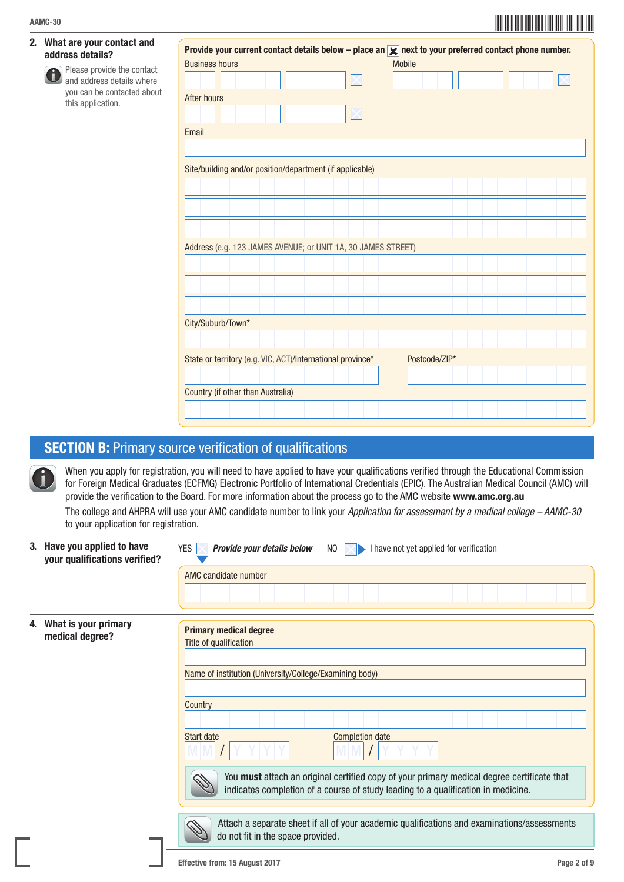#### 2. What are your contact and address details?

 Please provide the contact G and address details where you can be contacted about this application.

| After hours                                                  |  |  |  |  |               |  |  |  |  |
|--------------------------------------------------------------|--|--|--|--|---------------|--|--|--|--|
|                                                              |  |  |  |  |               |  |  |  |  |
| Email                                                        |  |  |  |  |               |  |  |  |  |
|                                                              |  |  |  |  |               |  |  |  |  |
|                                                              |  |  |  |  |               |  |  |  |  |
| Site/building and/or position/department (if applicable)     |  |  |  |  |               |  |  |  |  |
|                                                              |  |  |  |  |               |  |  |  |  |
|                                                              |  |  |  |  |               |  |  |  |  |
|                                                              |  |  |  |  |               |  |  |  |  |
|                                                              |  |  |  |  |               |  |  |  |  |
|                                                              |  |  |  |  |               |  |  |  |  |
|                                                              |  |  |  |  |               |  |  |  |  |
|                                                              |  |  |  |  |               |  |  |  |  |
|                                                              |  |  |  |  |               |  |  |  |  |
|                                                              |  |  |  |  |               |  |  |  |  |
| Address (e.g. 123 JAMES AVENUE; or UNIT 1A, 30 JAMES STREET) |  |  |  |  |               |  |  |  |  |
|                                                              |  |  |  |  |               |  |  |  |  |
|                                                              |  |  |  |  |               |  |  |  |  |
|                                                              |  |  |  |  |               |  |  |  |  |
| City/Suburb/Town*                                            |  |  |  |  |               |  |  |  |  |
|                                                              |  |  |  |  |               |  |  |  |  |
|                                                              |  |  |  |  | Postcode/ZIP* |  |  |  |  |
| State or territory (e.g. VIC, ACT)/International province*   |  |  |  |  |               |  |  |  |  |

## **SECTION B: Primary source verification of qualifications**

 When you apply for registration, you will need to have applied to have your qualifications verified through the Educational Commission for Foreign Medical Graduates (ECFMG) Electronic Portfolio of International Credentials (EPIC). The Australian Medical Council (AMC) will provide the verification to the Board. For more information about the process go to the AMC website www.amc.org.au

 The college and AHPRA will use your AMC candidate number to link your *Application for assessment by a medical college – AAMC-30* to your application for registration.

3. Have you applied to have your qualifications verified?

| <b>YES</b> | Provide your details below |  | $NO \times$ |  | I have not yet applied for verification |  |  |  |  |  |
|------------|----------------------------|--|-------------|--|-----------------------------------------|--|--|--|--|--|
|            | AMC candidate number       |  |             |  |                                         |  |  |  |  |  |
|            |                            |  |             |  |                                         |  |  |  |  |  |

#### 4. What is your prima medical degree?

| arv | <b>Primary medical degree</b>                                                                                                                                                   |
|-----|---------------------------------------------------------------------------------------------------------------------------------------------------------------------------------|
|     | Title of qualification                                                                                                                                                          |
|     |                                                                                                                                                                                 |
|     | Name of institution (University/College/Examining body)                                                                                                                         |
|     | Country                                                                                                                                                                         |
|     |                                                                                                                                                                                 |
|     | Start date<br><b>Completion date</b>                                                                                                                                            |
|     | You must attach an original certified copy of your primary medical degree certificate that<br>indicates completion of a course of study leading to a qualification in medicine. |
|     | Attach a separate sheet if all of your academic qualifications and examinations/assessments<br>do not fit in the space provided.                                                |
|     | Page 2 of 9<br><b>Effective from: 15 August 2017</b>                                                                                                                            |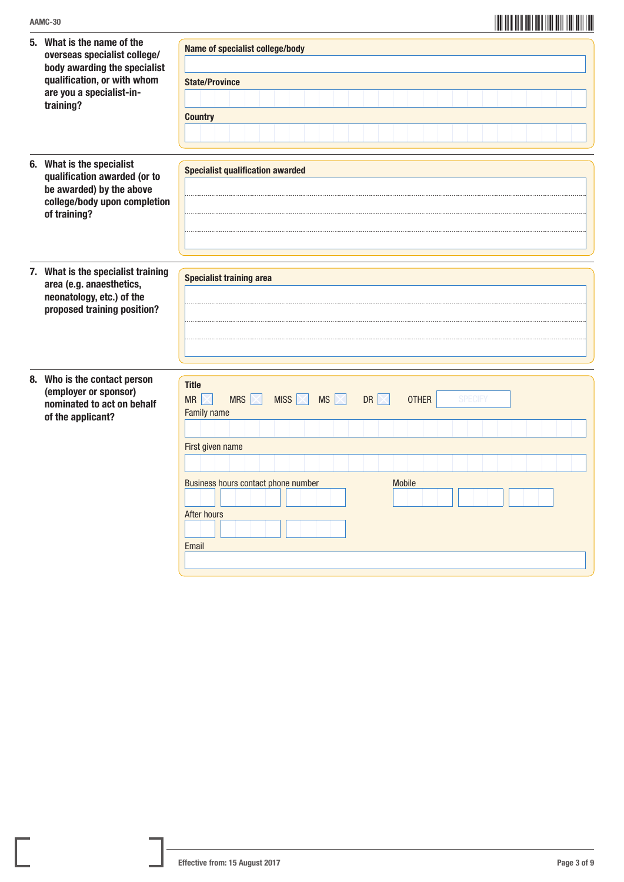| 5. What is the name of the<br>overseas specialist college/<br>body awarding the specialist<br>qualification, or with whom<br>are you a specialist-in-<br>training? | Name of specialist college/body<br><b>State/Province</b><br><b>Country</b>                                                                                                                                                                                                |
|--------------------------------------------------------------------------------------------------------------------------------------------------------------------|---------------------------------------------------------------------------------------------------------------------------------------------------------------------------------------------------------------------------------------------------------------------------|
| 6. What is the specialist<br>qualification awarded (or to<br>be awarded) by the above<br>college/body upon completion<br>of training?                              | <b>Specialist qualification awarded</b>                                                                                                                                                                                                                                   |
| 7. What is the specialist training<br>area (e.g. anaesthetics,<br>neonatology, etc.) of the<br>proposed training position?                                         | <b>Specialist training area</b>                                                                                                                                                                                                                                           |
| 8. Who is the contact person<br>(employer or sponsor)<br>nominated to act on behalf<br>of the applicant?                                                           | <b>Title</b><br><b>MRS</b><br><b>MR</b><br><b>MISS</b><br><b>MS</b><br><b>OTHER</b><br><b>SPECIFY</b><br>$\boxtimes$<br><b>DR</b><br>$\times$ l<br><b>Family name</b><br>First given name<br>Business hours contact phone number<br><b>Mobile</b><br>After hours<br>Email |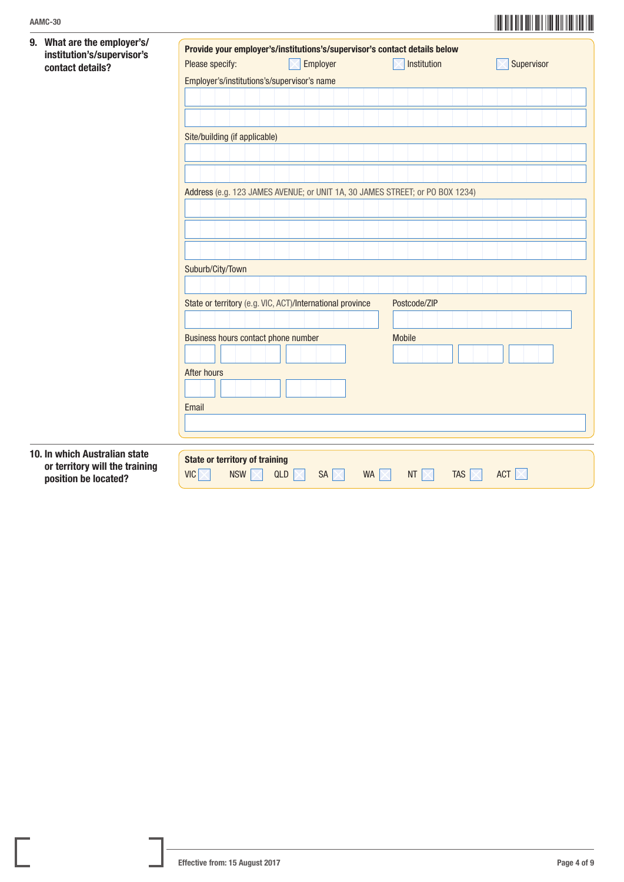| 9. What are the employer's/<br>institution's/supervisor's<br>contact details?           | Please specify:                                                     | Provide your employer's/institutions's/supervisor's contact details below<br>Employer | Institution                                     | Supervisor |  |  |  |  |  |  |  |
|-----------------------------------------------------------------------------------------|---------------------------------------------------------------------|---------------------------------------------------------------------------------------|-------------------------------------------------|------------|--|--|--|--|--|--|--|
|                                                                                         | Employer's/institutions's/supervisor's name                         |                                                                                       |                                                 |            |  |  |  |  |  |  |  |
|                                                                                         |                                                                     |                                                                                       |                                                 |            |  |  |  |  |  |  |  |
|                                                                                         |                                                                     |                                                                                       |                                                 |            |  |  |  |  |  |  |  |
|                                                                                         |                                                                     |                                                                                       |                                                 |            |  |  |  |  |  |  |  |
|                                                                                         | Site/building (if applicable)                                       |                                                                                       |                                                 |            |  |  |  |  |  |  |  |
|                                                                                         |                                                                     |                                                                                       |                                                 |            |  |  |  |  |  |  |  |
|                                                                                         |                                                                     |                                                                                       |                                                 |            |  |  |  |  |  |  |  |
|                                                                                         |                                                                     | Address (e.g. 123 JAMES AVENUE; or UNIT 1A, 30 JAMES STREET; or PO BOX 1234)          |                                                 |            |  |  |  |  |  |  |  |
|                                                                                         |                                                                     |                                                                                       |                                                 |            |  |  |  |  |  |  |  |
|                                                                                         |                                                                     |                                                                                       |                                                 |            |  |  |  |  |  |  |  |
|                                                                                         |                                                                     |                                                                                       |                                                 |            |  |  |  |  |  |  |  |
|                                                                                         | Suburb/City/Town                                                    |                                                                                       |                                                 |            |  |  |  |  |  |  |  |
|                                                                                         |                                                                     |                                                                                       |                                                 |            |  |  |  |  |  |  |  |
|                                                                                         |                                                                     | State or territory (e.g. VIC, ACT)/International province                             | Postcode/ZIP                                    |            |  |  |  |  |  |  |  |
|                                                                                         |                                                                     |                                                                                       |                                                 |            |  |  |  |  |  |  |  |
|                                                                                         | Business hours contact phone number                                 |                                                                                       | <b>Mobile</b>                                   |            |  |  |  |  |  |  |  |
|                                                                                         |                                                                     |                                                                                       |                                                 |            |  |  |  |  |  |  |  |
|                                                                                         | <b>After hours</b>                                                  |                                                                                       |                                                 |            |  |  |  |  |  |  |  |
|                                                                                         |                                                                     |                                                                                       |                                                 |            |  |  |  |  |  |  |  |
|                                                                                         | Email                                                               |                                                                                       |                                                 |            |  |  |  |  |  |  |  |
|                                                                                         |                                                                     |                                                                                       |                                                 |            |  |  |  |  |  |  |  |
|                                                                                         |                                                                     |                                                                                       |                                                 |            |  |  |  |  |  |  |  |
| 10. In which Australian state<br>or territory will the training<br>position be located? | <b>State or territory of training</b><br>$VIC \times$<br><b>NSW</b> | QLD<br>$SA \times$<br><b>WA</b>                                                       | <b>TAS</b><br><b>NT</b><br>$\times$<br>$\times$ | <b>ACT</b> |  |  |  |  |  |  |  |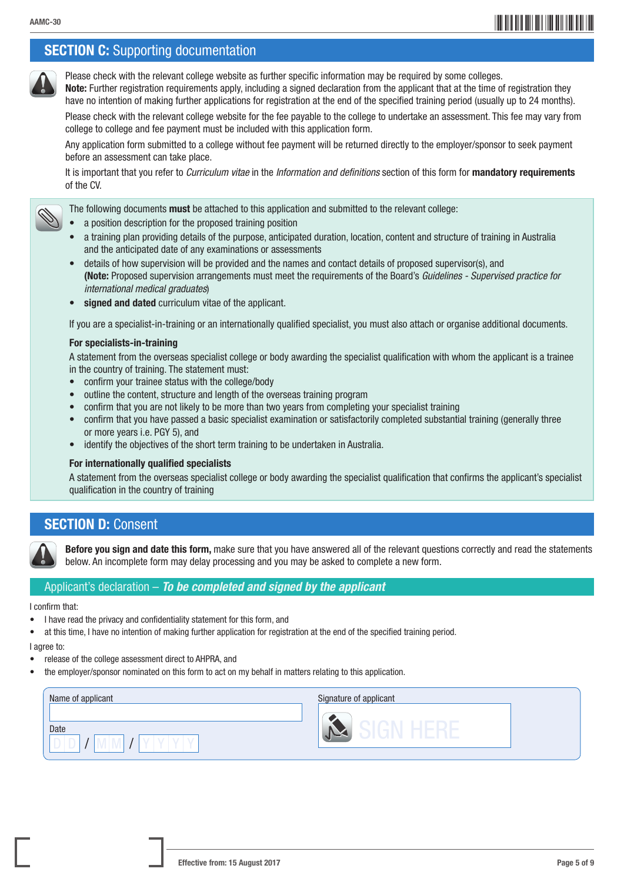## \*AAMC-305\* AAMC-30

## **SECTION C:** Supporting documentation

Please check with the relevant college website as further specific information may be required by some colleges. Note: Further registration requirements apply, including a signed declaration from the applicant that at the time of registration they

have no intention of making further applications for registration at the end of the specified training period (usually up to 24 months).

 Please check with the relevant college website for the fee payable to the college to undertake an assessment. This fee may vary from college to college and fee payment must be included with this application form.

 Any application form submitted to a college without fee payment will be returned directly to the employer/sponsor to seek payment before an assessment can take place.

 It is important that you refer to *Curriculum vitae* in the *Information and definitions* section of this form for mandatory requirements of the CV.

The following documents must be attached to this application and submitted to the relevant college:

- a position description for the proposed training position
- a training plan providing details of the purpose, anticipated duration, location, content and structure of training in Australia and the anticipated date of any examinations or assessments
- details of how supervision will be provided and the names and contact details of proposed supervisor(s), and (Note: Proposed supervision arrangements must meet the requirements of the Board's *Guidelines - Supervised practice for international medical graduates*)
- signed and dated curriculum vitae of the applicant.

If you are a specialist-in-training or an internationally qualified specialist, you must also attach or organise additional documents.

#### For specialists-in-training

A statement from the overseas specialist college or body awarding the specialist qualification with whom the applicant is a trainee in the country of training. The statement must:

- confirm your trainee status with the college/body
- outline the content, structure and length of the overseas training program
- confirm that you are not likely to be more than two years from completing your specialist training
- confirm that you have passed a basic specialist examination or satisfactorily completed substantial training (generally three or more years i.e. PGY 5), and
- identify the objectives of the short term training to be undertaken in Australia.

#### For internationally qualified specialists

A statement from the overseas specialist college or body awarding the specialist qualification that confirms the applicant's specialist qualification in the country of training

## **SECTION D: Consent**



Before you sign and date this form, make sure that you have answered all of the relevant questions correctly and read the statements below. An incomplete form may delay processing and you may be asked to complete a new form.

#### Applicant's declaration – *To be completed and signed by the applicant*

I confirm that:

- I have read the privacy and confidentiality statement for this form, and
- at this time, I have no intention of making further application for registration at the end of the specified training period.

I agree to:

- release of the college assessment direct to AHPRA, and
- the employer/sponsor nominated on this form to act on my behalf in matters relating to this application.

| Name of applicant | Signature of applicant |
|-------------------|------------------------|
| Date              | - 1<br>_               |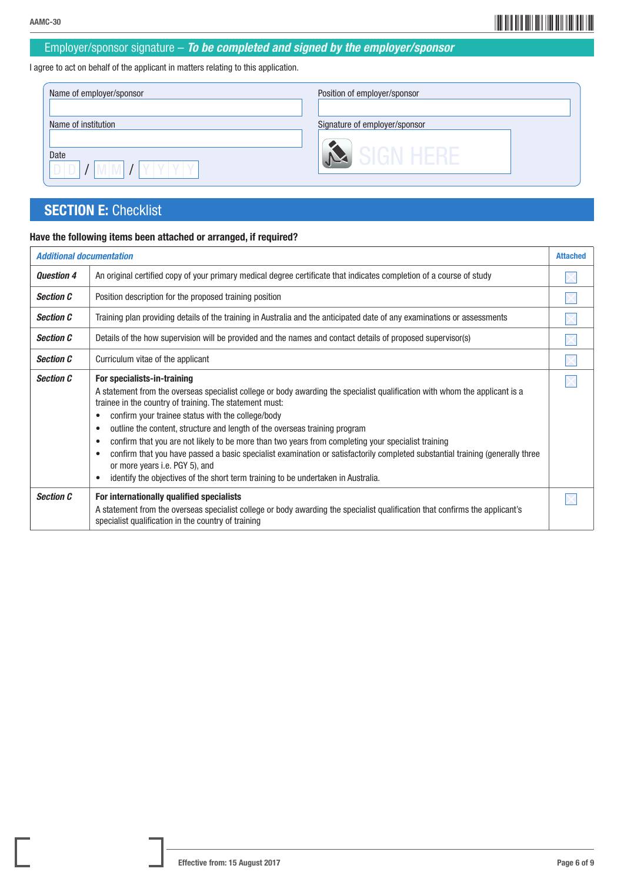## \*AAMC-306\* AAMC-30

### Employer/sponsor signature – *To be completed and signed by the employer/sponsor*

I agree to act on behalf of the applicant in matters relating to this application.

| Name of employer/sponsor | Position of employer/sponsor  |
|--------------------------|-------------------------------|
| Name of institution      | Signature of employer/sponsor |
| Date                     | iign hekf                     |

## **SECTION E: Checklist**

### Have the following items been attached or arranged, if required?

| <b>Additional documentation</b> |                                                                                                                                                                                                                                                                                                                                                                                                                                                                                                                                                                                                                                                                                                                                                       | <b>Attached</b> |
|---------------------------------|-------------------------------------------------------------------------------------------------------------------------------------------------------------------------------------------------------------------------------------------------------------------------------------------------------------------------------------------------------------------------------------------------------------------------------------------------------------------------------------------------------------------------------------------------------------------------------------------------------------------------------------------------------------------------------------------------------------------------------------------------------|-----------------|
| <b>Question 4</b>               | An original certified copy of your primary medical degree certificate that indicates completion of a course of study                                                                                                                                                                                                                                                                                                                                                                                                                                                                                                                                                                                                                                  |                 |
| <b>Section C</b>                | Position description for the proposed training position                                                                                                                                                                                                                                                                                                                                                                                                                                                                                                                                                                                                                                                                                               |                 |
| <b>Section C</b>                | Training plan providing details of the training in Australia and the anticipated date of any examinations or assessments                                                                                                                                                                                                                                                                                                                                                                                                                                                                                                                                                                                                                              |                 |
| <b>Section C</b>                | Details of the how supervision will be provided and the names and contact details of proposed supervisor(s)                                                                                                                                                                                                                                                                                                                                                                                                                                                                                                                                                                                                                                           |                 |
| <b>Section C</b>                | Curriculum vitae of the applicant                                                                                                                                                                                                                                                                                                                                                                                                                                                                                                                                                                                                                                                                                                                     |                 |
| <b>Section C</b>                | For specialists-in-training<br>A statement from the overseas specialist college or body awarding the specialist qualification with whom the applicant is a<br>trainee in the country of training. The statement must:<br>confirm your trainee status with the college/body<br>٠<br>outline the content, structure and length of the overseas training program<br>$\bullet$<br>confirm that you are not likely to be more than two years from completing your specialist training<br>$\bullet$<br>confirm that you have passed a basic specialist examination or satisfactorily completed substantial training (generally three<br>or more years i.e. PGY 5), and<br>identify the objectives of the short term training to be undertaken in Australia. |                 |
| <b>Section C</b>                | For internationally qualified specialists<br>A statement from the overseas specialist college or body awarding the specialist qualification that confirms the applicant's<br>specialist qualification in the country of training                                                                                                                                                                                                                                                                                                                                                                                                                                                                                                                      |                 |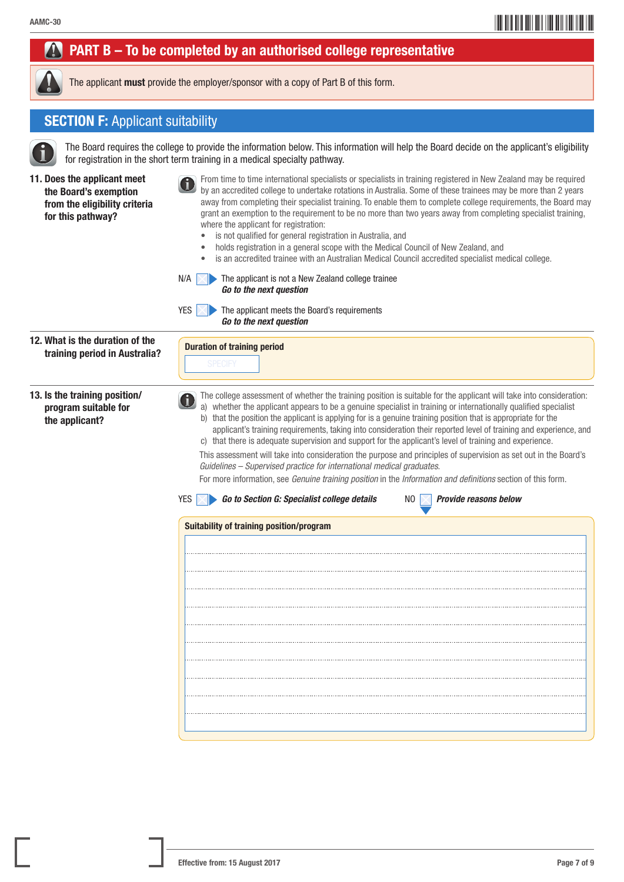## AAMC-307 AAMC-307 AAMC-307 AAMC-307 AAMC-307 AAMC-307 AAMC-307 AAMC-407 AAMC-407 AAMC-407 AAMC-407 AAMC-407 AAMC-407 AAMC-407 AAMC-407 AAMC-407 AAMC-407 AAMC-407 AAMC-407 AAMC-407 AAMC-407 AAMC-407 AAMC-407 AAMC-407 AAMC-4

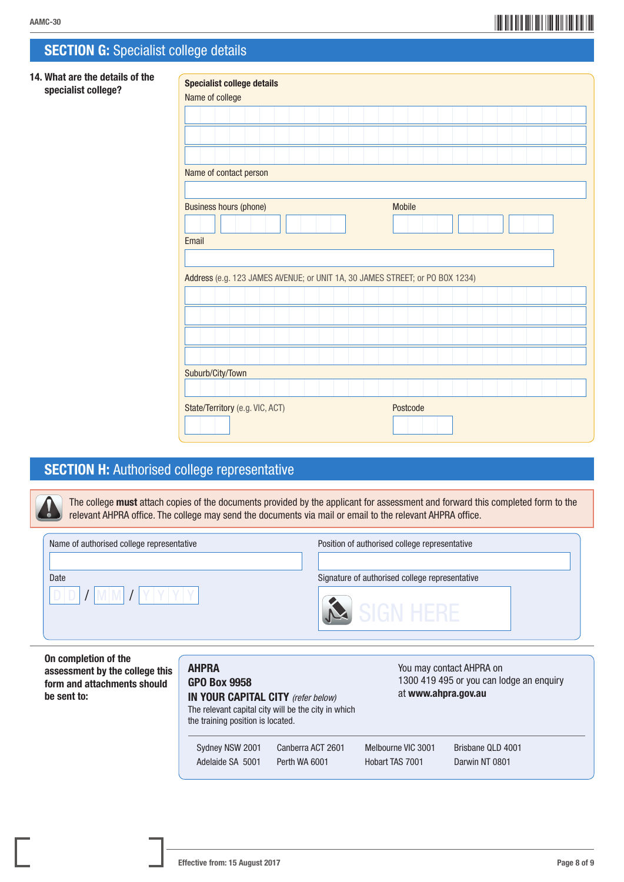## AAMC-308 AAMC-308 AAMC-308 AAMC-308 AAMC-308 AAMC-308 AAMC-308 AAMC-408 AAMC-408 AAMC-408 AAMC-408 AAMC-408 AAMC-408 AAMC-408 AAMC-408 AAMC-408 AAMC-408 AAMC-408 AAMC-408 AAMC-408 AAMC-408 AAMC-408 AAMC-408 AAMC-408 AAMC-4

## **SECTION G:** Specialist college details

#### 14. What are the details of the specialist college?

| <b>Specialist college details</b><br>Name of college                         |               |
|------------------------------------------------------------------------------|---------------|
|                                                                              |               |
|                                                                              |               |
|                                                                              |               |
| Name of contact person                                                       |               |
|                                                                              |               |
| <b>Business hours (phone)</b>                                                | <b>Mobile</b> |
|                                                                              |               |
| Email                                                                        |               |
|                                                                              |               |
| Address (e.g. 123 JAMES AVENUE; or UNIT 1A, 30 JAMES STREET; or PO BOX 1234) |               |
|                                                                              |               |
|                                                                              |               |
|                                                                              |               |
|                                                                              |               |
| Suburb/City/Town                                                             |               |
|                                                                              |               |
| State/Territory (e.g. VIC, ACT)                                              | Postcode      |
|                                                                              |               |

## SECTION H: Authorised college representative

The college must attach copies of the documents provided by the applicant for assessment and forward this completed form to the relevant AHPRA office. The college may send the documents via mail or email to the relevant AHPRA office.

| Signature of authorised college representative<br>SIGN HERE |
|-------------------------------------------------------------|
|                                                             |

On completion of the assessment by the college this form and attachments should be sent to:

#### AHPRA GPO Box 9958 IN YOUR CAPITAL CITY *(refer below)* The relevant capital city will be the city in which the training position is located. You may contact AHPRA on 1300 419 495 or you can lodge an enquiry at www.ahpra.gov.au Sydney NSW 2001 Canberra ACT 2601 Melbourne VIC 3001 Brisbane QLD 4001 Adelaide SA 5001 Perth WA 6001 Hobart TAS 7001 Darwin NT 0801